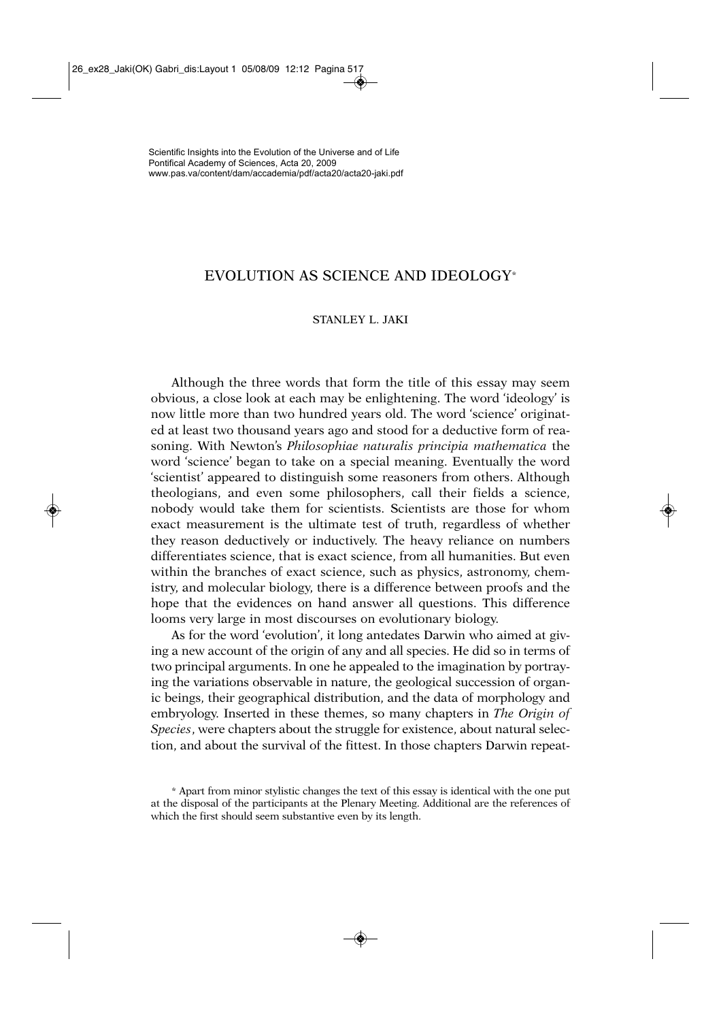## EVOLUTION AS SCIENCE AND IDEOLOGY\*

## STANI EV L. JAKI

Although the three words that form the title of this essay may seem obvious, a close look at each may be enlightening. The word 'ideology' is now little more than two hundred years old. The word 'science' originated at least two thousand years ago and stood for a deductive form of reasoning. With Newton's *Philosophiae naturalis principia mathema tica* the word 'science' began to take on a special meaning. Eventually the word 'scientist' appeared to distinguish some reasoners from others. Although theologians, and even some philosophers, call their fields a science, nobody would take them for scientists. Scientists are those for whom exact measurement is the ultimate test of truth, regardless of whether they reason deductively or inductively. The heavy reliance on numbers differentiates science, that is exact science, from all humanities. But even within the branches of exact science, such as physics, astronomy, chemistry, and molecular biology, there is a difference between proofs and the hope that the evidences on hand answer all questions. This difference looms very large in most discourses on evolutionary biology.

As for the word 'evolution', it long antedates Darwin who aimed at giving a new account of the origin of any and all species. He did so in terms of two principal arguments. In one he appealed to the imagination by portraying the variations observable in nature, the geological succession of organic beings, their geographical distribution, and the data of morphology and embryology. Inserted in these themes, so many chapters in *The Origin of Species*, were chapters about the struggle for existence, about natural selection, and about the survival of the fittest. In those chapters Darwin repeat-

<sup>\*</sup> Apart from minor stylistic changes the text of this essay is identical with the one put at the disposal of the participants at the Plenary Meeting. Additional are the references of which the first should seem substantive even by its length.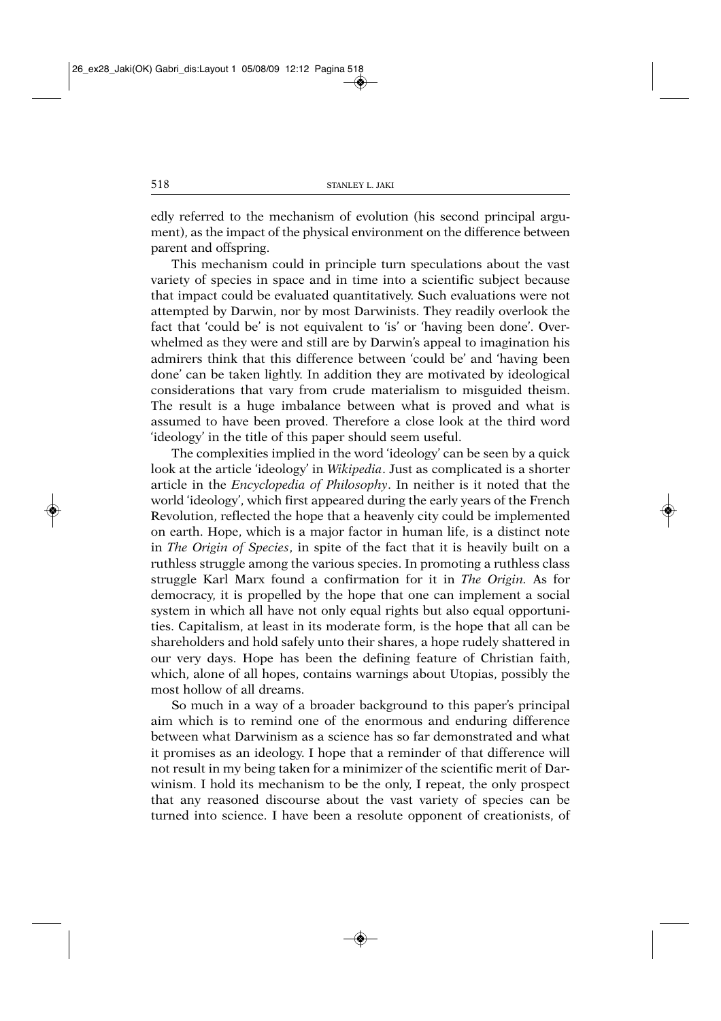edly referred to the mechanism of evolution (his second principal argument), as the impact of the physical environment on the difference between parent and offspring.

This mechanism could in principle turn speculations about the vast variety of species in space and in time into a scientific subject because that impact could be evaluated quantitatively. Such evaluations were not attempted by Darwin, nor by most Darwinists. They readily overlook the fact that 'could be' is not equivalent to 'is' or 'having been done'. Overwhelmed as they were and still are by Darwin's appeal to imagination his admirers think that this difference between 'could be' and 'having been done' can be taken lightly. In addition they are motivated by ideological considerations that vary from crude materialism to misguided theism. The result is a huge imbalance between what is proved and what is assumed to have been proved. Therefore a close look at the third word 'ideology' in the title of this paper should seem useful.

The complexities implied in the word 'ideology' can be seen by a quick look at the article 'ideology' in *Wikipedia*. Just as complicated is a shorter article in the *Encyclopedia of Philosophy*. In neither is it noted that the world 'ideology', which first appeared during the early years of the French Revolution, reflected the hope that a heavenly city could be implemented on earth. Hope, which is a major factor in human life, is a distinct note in *The Origin of Species*, in spite of the fact that it is heavily built on a ruthless struggle among the various species. In promoting a ruthless class struggle Karl Marx found a confirmation for it in *The Origin.* As for democracy, it is propelled by the hope that one can implement a social system in which all have not only equal rights but also equal opportunities. Capitalism, at least in its moderate form, is the hope that all can be shareholders and hold safely unto their shares, a hope rudely shattered in our very days. Hope has been the defining feature of Christian faith, which, alone of all hopes, contains warnings about Utopias, possibly the most hollow of all dreams.

So much in a way of a broader background to this paper's principal aim which is to remind one of the enormous and enduring difference between what Darwinism as a science has so far demonstrated and what it promises as an ideology. I hope that a reminder of that difference will not result in my being taken for a minimizer of the scientific merit of Darwinism. I hold its mechanism to be the only, I repeat, the only prospect that any reasoned discourse about the vast variety of species can be turned into science. I have been a resolute opponent of creationists, of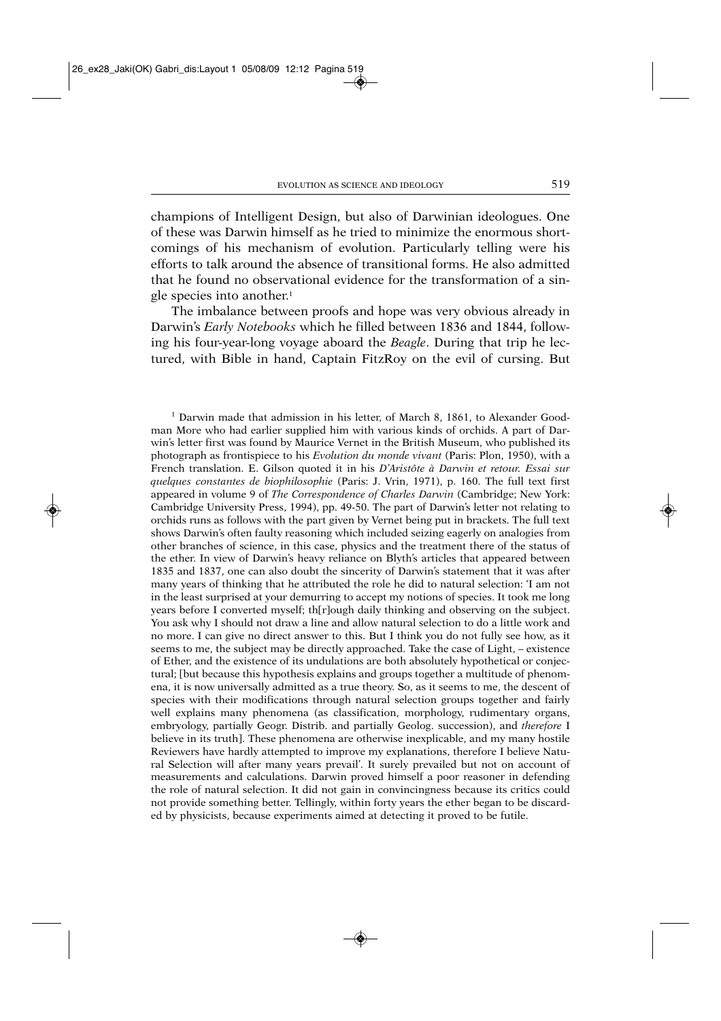champions of Intelligent Design, but also of Darwinian ideologues. One of these was Darwin himself as he tried to minimize the enormous shortcomings of his mechanism of evolution. Particularly telling were his efforts to talk around the absence of transitional forms. He also admitted that he found no observational evidence for the transformation of a single species into another.<sup>1</sup>

The imbalance between proofs and hope was very obvious already in Darwin's *Early Notebooks* which he filled between 1836 and 1844, following his four-year-long voyage aboard the *Beagle*. During that trip he lectured, with Bible in hand, Captain FitzRoy on the evil of cursing. But

<sup>1</sup> Darwin made that admission in his letter, of March 8, 1861, to Alexander Goodman More who had earlier supplied him with various kinds of orchids. A part of Darwin's letter first was found by Maurice Vernet in the British Museum, who published its photograph as frontispiece to his *Evolution du monde vivant* (Paris: Plon, 1950), with a French translation. E. Gilson quoted it in his *D'Aristôte à Darwin et retour. Essai sur quelques constantes de biophilosophie* (Paris: J. Vrin, 1971), p. 160. The full text first appeared in volume 9 of *The Correspondence of Charles Darwin* (Cambridge; New York: Cambridge University Press, 1994), pp. 49-50. The part of Darwin's letter not relating to orchids runs as follows with the part given by Vernet being put in brackets. The full text shows Darwin's often faulty reasoning which included seizing eagerly on analogies from other branches of science, in this case, physics and the treatment there of the status of the ether. In view of Darwin's heavy reliance on Blyth's articles that appeared between 1835 and 1837, one can also doubt the sincerity of Darwin's statement that it was after many years of thinking that he attributed the role he did to natural selection: 'I am not in the least surprised at your demurring to accept my notions of species. It took me long years before I converted myself; th[r]ough daily thinking and observing on the subject. You ask why I should not draw a line and allow natural selection to do a little work and no more. I can give no direct answer to this. But I think you do not fully see how, as it seems to me, the subject may be directly approached. Take the case of Light, – existence of Ether, and the existence of its undulations are both absolutely hypothetical or conjectural; [but because this hypothesis explains and groups together a multitude of phenomena, it is now universally admitted as a true theory. So, as it seems to me, the descent of species with their modifications through natural selection groups together and fairly well explains many phenomena (as classification, morphology, rudimentary organs, embryology, partially Geogr. Distrib. and partially Geolog. succession), and *therefore* I believe in its truth]. These phenomena are otherwise inexplicable, and my many hostile Reviewers have hardly attempted to improve my explanations, therefore I believe Natural Selection will after many years prevail'. It surely prevailed but not on account of measurements and calculations. Darwin proved himself a poor reasoner in defending the role of natural selection. It did not gain in convincing ness because its critics could not provide something better. Tellingly, within forty years the ether began to be discarded by physicists, because experiments aimed at detecting it proved to be futile.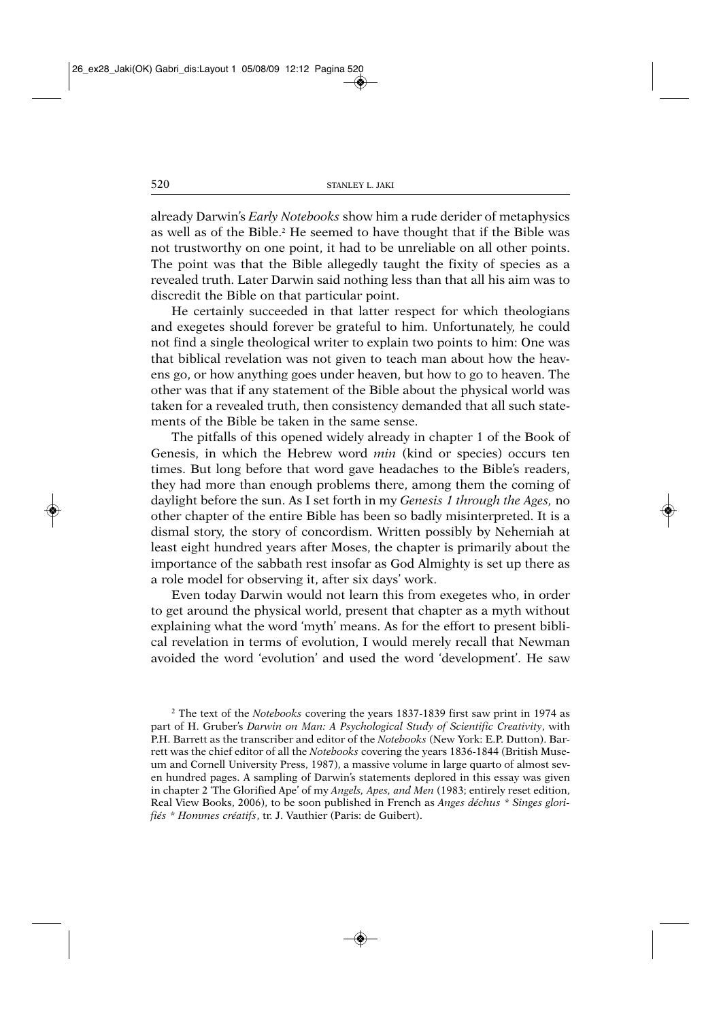already Darwin's *Early Note books* show him a rude derider of metaphysics as well as of the Bible.<sup>2</sup> He seemed to have thought that if the Bible was not trustworthy on one point, it had to be unreliable on all other points. The point was that the Bible allegedly taught the fixity of species as a revealed truth. Later Darwin said nothing less than that all his aim was to discredit the Bible on that particular point.

He certainly succeeded in that latter respect for which theologians and exegetes should forever be grateful to him. Unfortunately, he could not find a single theological writer to explain two points to him: One was that biblical revelation was not given to teach man about how the heavens go, or how anything goes under heaven, but how to go to heaven. The other was that if any statement of the Bible about the physical world was taken for a revealed truth, then consistency demanded that all such statements of the Bible be taken in the same sense.

The pitfalls of this opened widely already in chapter 1 of the Book of Genesis, in which the Hebrew word *min* (kind or species) occurs ten times. But long before that word gave headaches to the Bible's readers, they had more than enough problems there, among them the coming of daylight before the sun. As I set forth in my *Genesis 1 through the Ages,* no other chapter of the entire Bible has been so badly misinterpreted. It is a dismal story, the story of concordism. Written possibly by Nehemiah at least eight hundred years after Moses, the chapter is primarily about the importance of the sabbath rest insofar as God Almighty is set up there as a role model for observing it, after six days' work.

Even today Darwin would not learn this from exegetes who, in order to get around the physical world, present that chapter as a myth without explaining what the word 'myth' means. As for the effort to present biblical revelation in terms of evolution, I would merely recall that Newman avoided the word 'evolution' and used the word 'development'. He saw

<sup>2</sup> The text of the *Notebooks* covering the years 1837-1839 first saw print in 1974 as part of H. Gruber's *Darwin on Man: A Psychological Study of Scientific Creativity*, with P.H. Barrett as the transcriber and editor of the *Notebooks* (New York: E.P. Dutton). Barrett was the chief editor of all the *Notebooks* covering the years 1836-1844 (British Museum and Cornell University Press, 1987), a massive volume in large quarto of almost seven hundred pages. A sampling of Darwin's statements deplored in this essay was given in chapter 2 'The Glorified Ape' of my *Angels, Apes, and Men* (1983; entirely reset edition, Real View Books, 2006), to be soon published in French as *Anges déchus \* Singes glorifiés \* Hommes créatifs*, tr. J. Vauthier (Paris: de Guibert).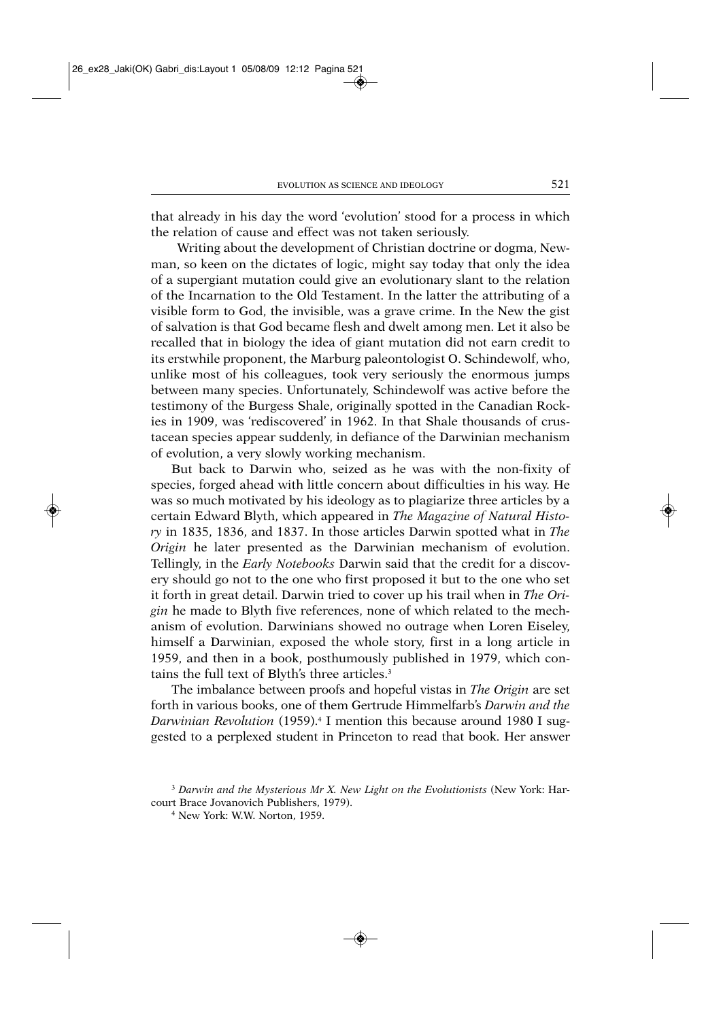that already in his day the word 'evolution' stood for a process in which the relation of cause and effect was not taken seriously.

Writing about the development of Christian doctrine or dogma, Newman, so keen on the dictates of logic, might say today that only the idea of a supergiant mutation could give an evolutionary slant to the relation of the Incarnation to the Old Testament. In the latter the attributing of a visible form to God, the invisible, was a grave crime. In the New the gist of salvation is that God became flesh and dwelt among men. Let it also be recalled that in biology the idea of giant mutation did not earn credit to its erstwhile proponent, the Marburg paleontologist O. Schinde wolf, who, unlike most of his colleagues, took very seriously the enormous jumps between many species. Unfortunately, Schindewolf was active before the testimony of the Burgess Shale, originally spotted in the Canadian Rockies in 1909, was 'rediscovered' in 1962. In that Shale thousands of crustacean species appear suddenly, in defiance of the Darwinian mechanism of evolution, a very slowly working mechanism.

But back to Darwin who, seized as he was with the non-fixity of species, forged ahead with little concern about difficulties in his way. He was so much motivated by his ideology as to plagiarize three articles by a certain Edward Blyth, which appeared in *The Magazine of Natural History* in 1835, 1836, and 1837. In those articles Darwin spotted what in *The Origin* he later presented as the Darwinian mechanism of evolution. Tellingly, in the *Early Notebooks* Darwin said that the credit for a discovery should go not to the one who first proposed it but to the one who set it forth in great detail. Darwin tried to cover up his trail when in *The Origin* he made to Blyth five references, none of which related to the mechanism of evolution. Darwinians showed no outrage when Loren Eiseley, himself a Darwinian, exposed the whole story, first in a long article in 1959, and then in a book, posthumously published in 1979, which contains the full text of Blyth's three articles.3

The imbalance between proofs and hopeful vistas in *The Origin* are set forth in various books, one of them Gertrude Himmelfarb's *Darwin and the Darwinian Revolution* (1959).4 I mention this because around 1980 I suggested to a perplexed student in Princeton to read that book. Her answer

<sup>3</sup> *Darwin and the Mysterious Mr X. New Light on the Evolutionists* (New York: Harcourt Brace Jovanovich Publishers, 1979).

<sup>4</sup> New York: W.W. Norton, 1959.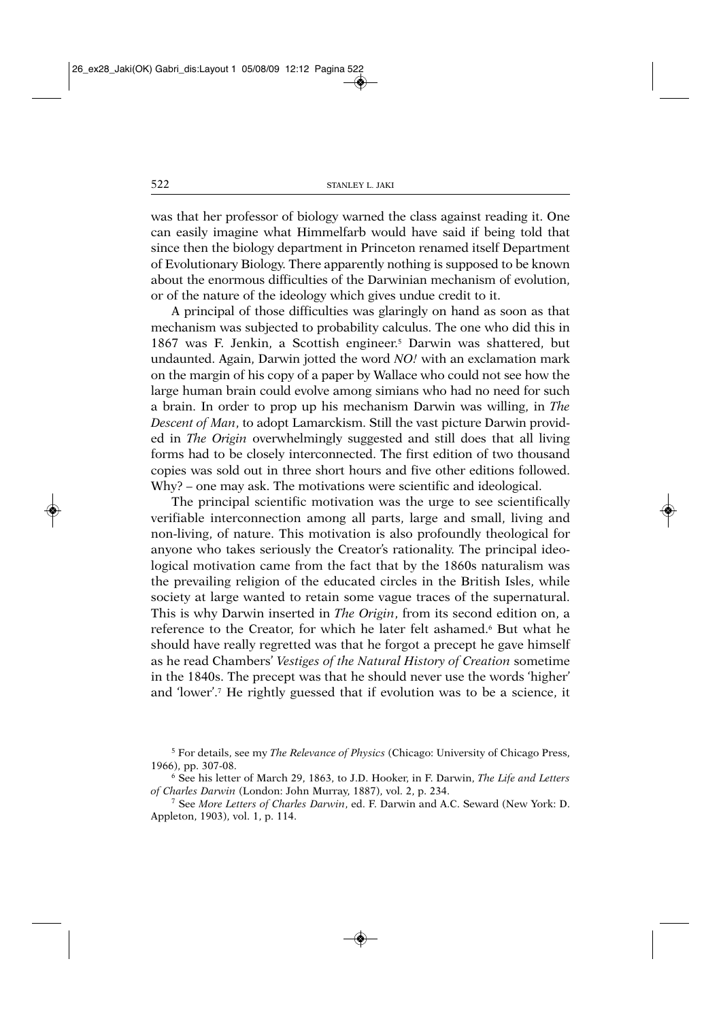was that her professor of biology warned the class against reading it. One can easily imagine what Himmelfarb would have said if being told that since then the biology department in Princeton renamed itself Department of Evolution ary Biology. There apparently nothing is supposed to be known about the enormous difficulties of the Darwinian mechanism of evolution, or of the nature of the ideology which gives undue credit to it.

A principal of those difficulties was glaringly on hand as soon as that mechanism was subjected to probability calculus. The one who did this in 1867 was F. Jenkin, a Scottish engineer.5 Darwin was shattered, but undaunted. Again, Darwin jotted the word *NO!* with an exclamation mark on the margin of his copy of a paper by Wallace who could not see how the large human brain could evolve among simians who had no need for such a brain. In order to prop up his mechanism Darwin was willing, in *The Descent of Man*, to adopt Lamarckism. Still the vast picture Darwin provided in *The Origin* overwhelmingly suggested and still does that all living forms had to be closely interconnected. The first edition of two thousand copies was sold out in three short hours and five other editions followed. Why? – one may ask. The motivations were scientific and ideological.

The principal scientific motivation was the urge to see scientifically verifiable interconnection among all parts, large and small, living and non-living, of nature. This motivation is also profoundly theological for anyone who takes seriously the Creator's rationality. The principal ideological motivation came from the fact that by the 1860s naturalism was the prevailing religion of the educated circles in the British Isles, while society at large wanted to retain some vague traces of the supernatural. This is why Darwin inserted in *The Origin*, from its second edition on, a reference to the Creator, for which he later felt ashamed.<sup>6</sup> But what he should have really regretted was that he forgot a precept he gave himself as he read Chambers' *Vestiges of the Natural History of Creation* sometime in the 1840s. The precept was that he should never use the words 'higher' and 'lower'.7 He rightly guessed that if evolution was to be a science, it

<sup>5</sup> For details, see my *The Relevance of Physics* (Chicago: University of Chicago Press, 1966), pp. 307-08.<br><sup>6</sup> See his letter of March 29, 1863, to J.D. Hooker, in F. Darwin, *The Life and Letters* 

*of Charles Darwin* (London: John Murray, 1887), vol. 2, p. 234.

<sup>7</sup> See *More Letters of Charles Darwin*, ed. F. Darwin and A.C. Seward (New York: D. Appleton, 1903), vol. 1, p. 114.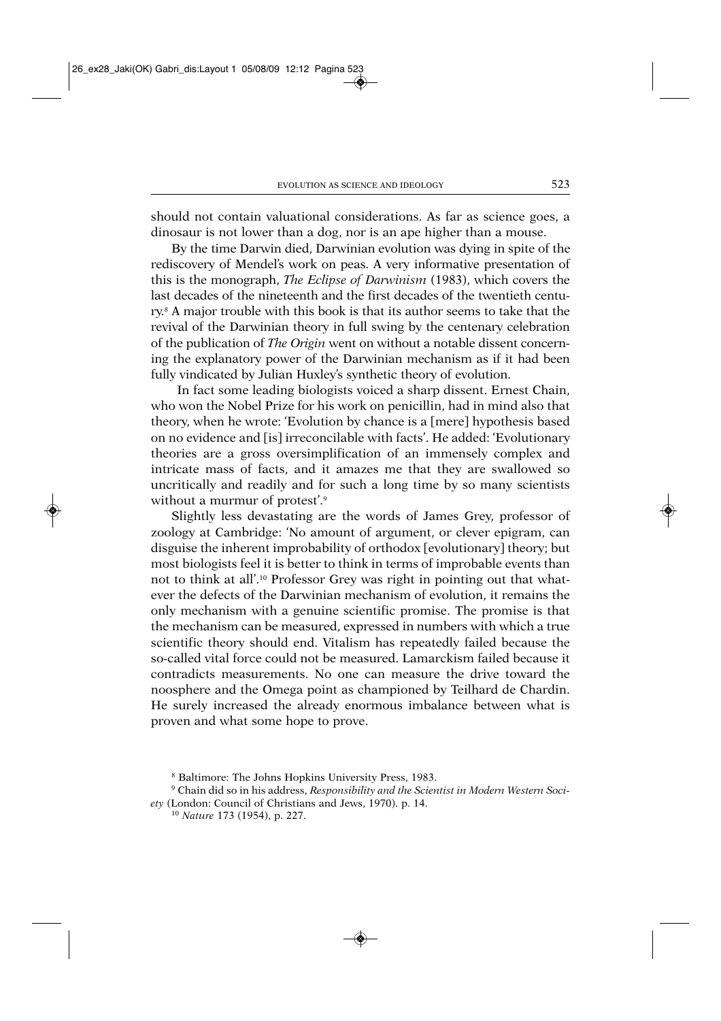should not contain valuational considerations. As far as science goes, a dinosaur is not lower than a dog, nor is an ape higher than a mouse.

By the time Darwin died, Darwinian evolution was dying in spite of the rediscovery of Mendel's work on peas. A very informative presentation of this is the monograph, *The Eclipse of Darwinism* (1983), which covers the last decades of the nineteenth and the first decades of the twentieth century.8 A major trouble with this book is that its author seems to take that the revival of the Darwinian theory in full swing by the centenary celebration of the publication of *The Origin* went on without a notable dissent concerning the explanatory power of the Darwinian mechanism as if it had been fully vindicated by Julian Huxley's synthetic theory of evolution.

In fact some leading biologists voiced a sharp dissent. Ernest Chain, who won the Nobel Prize for his work on penicillin, had in mind also that theory, when he wrote: 'Evolution by chance is a [mere] hypothesis based on no evidence and [is] irreconcilable with facts'. He added: 'Evolution ary theories are a gross oversimplification of an immensely complex and intricate mass of facts, and it amazes me that they are swallowed so uncritically and readily and for such a long time by so many scientists without a murmur of protest'.<sup>9</sup>

Slightly less devastating are the words of James Grey, professor of zoology at Cambridge: 'No amount of argument, or clever epigram, can disguise the inherent improbability of orthodox [evolutionary] theory; but most biologists feel it is better to think in terms of improbable events than not to think at all'.10 Professor Grey was right in pointing out that whatever the defects of the Darwinian mechanism of evolution, it remains the only mechanism with a genuine scientific promise. The promise is that the mechanism can be measured, expressed in numbers with which a true scientific theory should end. Vitalism has repeatedly failed because the so-called vital force could not be measured. Lamarckism failed because it contradicts measure ments. No one can measure the drive toward the noosphere and the Omega point as championed by Teilhard de Chardin. He surely increased the already enormous imbalance between what is proven and what some hope to prove.

<sup>8</sup> Baltimore: The Johns Hopkins University Press, 1983.

<sup>9</sup> Chain did so in his address, *Responsibility and the Scientist in Modern Western Society* (London: Council of Christians and Jews, 1970). p. 14.

<sup>10</sup> *Nature* 173 (1954), p. 227.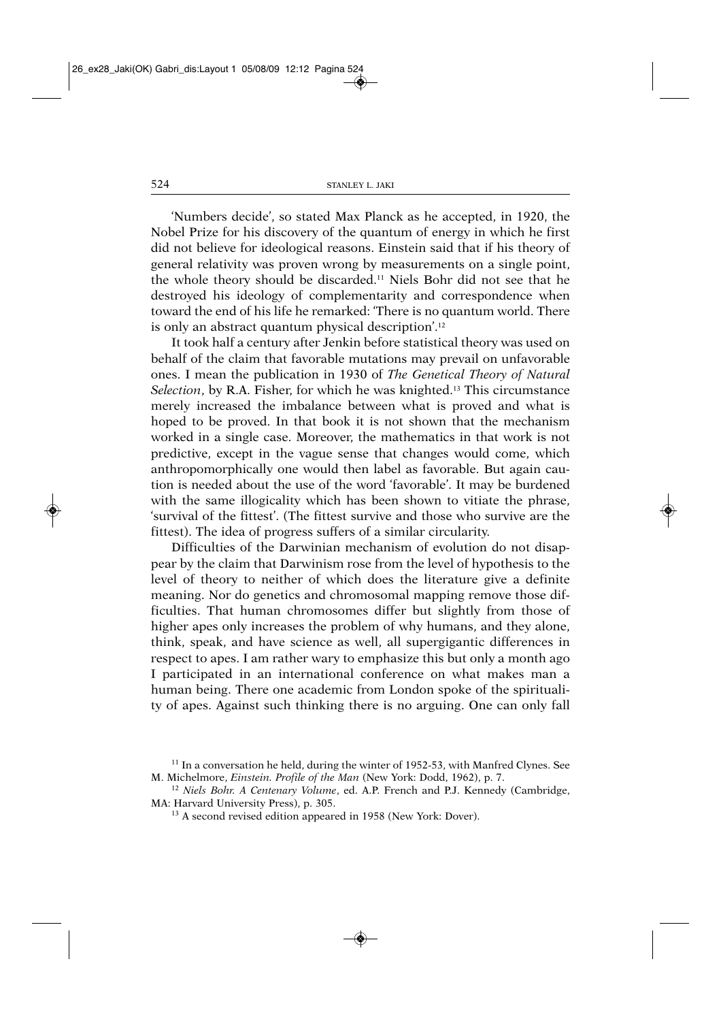'Numbers decide', so stated Max Planck as he accepted, in 1920, the Nobel Prize for his discovery of the quantum of energy in which he first did not believe for ideological reasons. Einstein said that if his theory of general relativity was proven wrong by measurements on a single point, the whole theory should be discarded.<sup>11</sup> Niels Bohr did not see that he destroyed his ideology of complementarity and correspondence when toward the end of his life he remarked: 'There is no quantum world. There is only an abstract quantum physical description'.12

It took half a century after Jenkin before statistical theory was used on behalf of the claim that favorable mutations may prevail on unfavorable ones. I mean the publication in 1930 of *The Genetical Theory of Natural Selection*, by R.A. Fisher, for which he was knighted.13 This circumstance merely increased the imbalance between what is proved and what is hoped to be proved. In that book it is not shown that the mechanism worked in a single case. Moreover, the mathematics in that work is not predictive, except in the vague sense that changes would come, which anthropomorphically one would then label as favorable. But again caution is needed about the use of the word 'favorable'. It may be burdened with the same illogicality which has been shown to vitiate the phrase, 'survival of the fittest'. (The fittest survive and those who survive are the fittest). The idea of progress suffers of a similar circularity.

Difficulties of the Darwinian mechanism of evolution do not disappear by the claim that Darwinism rose from the level of hypothesis to the level of theory to neither of which does the literature give a definite meaning. Nor do genetics and chromosomal mapping remove those difficulties. That human chromosomes differ but slightly from those of higher apes only increases the problem of why humans, and they alone, think, speak, and have science as well, all supergigantic differences in respect to apes. I am rather wary to emphasize this but only a month ago I participated in an international conference on what makes man a human being. There one academic from London spoke of the spirituality of apes. Against such thinking there is no arguing. One can only fall

<sup>&</sup>lt;sup>11</sup> In a conversation he held, during the winter of 1952-53, with Manfred Clynes. See M. Michelmore, *Einstein. Profile of the Man* (New York: Dodd, 1962), p. 7.

<sup>12</sup> *Niels Bohr. A Centenary Volume*, ed. A.P. French and P.J. Kennedy (Cambridge, MA: Harvard University Press), p. 305.

<sup>13</sup> A second revised edition appeared in 1958 (New York: Dover).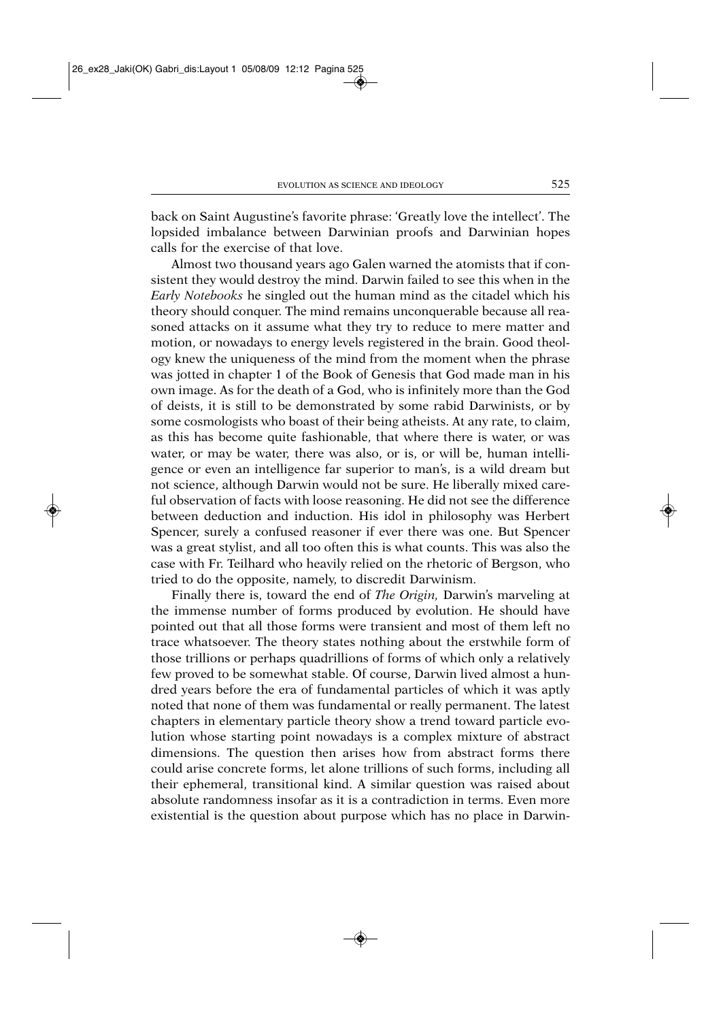back on Saint Augustine's favorite phrase: 'Greatly love the intellect'. The lopsided imbalance between Darwinian proofs and Darwinian hopes calls for the exercise of that love.

Almost two thousand years ago Galen warned the atomists that if consistent they would destroy the mind. Darwin failed to see this when in the *Early Notebooks* he singled out the human mind as the citadel which his theory should conquer. The mind remains unconquerable because all reasoned attacks on it assume what they try to reduce to mere matter and motion, or nowadays to energy levels registered in the brain. Good theology knew the uniqueness of the mind from the moment when the phrase was jotted in chapter 1 of the Book of Genesis that God made man in his own image. As for the death of a God, who is infinitely more than the God of deists, it is still to be demonstrated by some rabid Darwinists, or by some cosmologists who boast of their being atheists. At any rate, to claim, as this has become quite fashionable, that where there is water, or was water, or may be water, there was also, or is, or will be, human intelligence or even an intelligence far superior to man's, is a wild dream but not science, although Darwin would not be sure. He liberally mixed careful observation of facts with loose reasoning. He did not see the difference between deduction and induction. His idol in philosophy was Herbert Spencer, surely a confused reasoner if ever there was one. But Spencer was a great stylist, and all too often this is what counts. This was also the case with Fr. Teilhard who heavily relied on the rhetoric of Bergson, who tried to do the opposite, namely, to discredit Darwinism.

Finally there is, toward the end of *The Origin,* Darwin's marveling at the immense number of forms produced by evolution. He should have pointed out that all those forms were transient and most of them left no trace whatsoever. The theory states nothing about the erstwhile form of those trillions or perhaps quadrillions of forms of which only a relatively few proved to be somewhat stable. Of course, Darwin lived almost a hundred years before the era of fundamental particles of which it was aptly noted that none of them was fundamental or really permanent. The latest chapters in elementary particle theory show a trend toward particle evolution whose starting point nowadays is a complex mixture of abstract dimensions. The question then arises how from abstract forms there could arise concrete forms, let alone trillions of such forms, including all their ephemeral, transitional kind. A similar question was raised about absolute rando mness insofar as it is a contradiction in terms. Even more existential is the question about purpose which has no place in Darwin